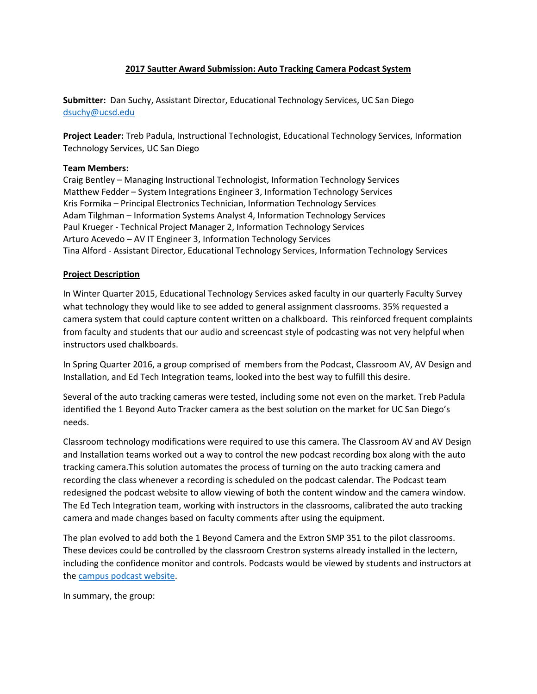# **2017 Sautter Award Submission: Auto Tracking Camera Podcast System**

**Submitter:** Dan Suchy, Assistant Director, Educational Technology Services, UC San Diego [dsuchy@ucsd.edu](mailto:dsuchy@ucsd.edu)

**Project Leader:** Treb Padula, Instructional Technologist, Educational Technology Services, Information Technology Services, UC San Diego

# **Team Members:**

Craig Bentley – Managing Instructional Technologist, Information Technology Services Matthew Fedder – System Integrations Engineer 3, Information Technology Services Kris Formika – Principal Electronics Technician, Information Technology Services Adam Tilghman – Information Systems Analyst 4, Information Technology Services Paul Krueger - Technical Project Manager 2, Information Technology Services Arturo Acevedo – AV IT Engineer 3, Information Technology Services Tina Alford - Assistant Director, Educational Technology Services, Information Technology Services

# **Project Description**

In Winter Quarter 2015, Educational Technology Services asked faculty in our quarterly Faculty Survey what technology they would like to see added to general assignment classrooms. 35% requested a camera system that could capture content written on a chalkboard. This reinforced frequent complaints from faculty and students that our audio and screencast style of podcasting was not very helpful when instructors used chalkboards.

In Spring Quarter 2016, a group comprised of members from the Podcast, Classroom AV, AV Design and Installation, and Ed Tech Integration teams, looked into the best way to fulfill this desire.

Several of the auto tracking cameras were tested, including some not even on the market. Treb Padula identified the 1 Beyond Auto Tracker camera as the best solution on the market for UC San Diego's needs.

Classroom technology modifications were required to use this camera. The Classroom AV and AV Design and Installation teams worked out a way to control the new podcast recording box along with the auto tracking camera.This solution automates the process of turning on the auto tracking camera and recording the class whenever a recording is scheduled on the podcast calendar. The Podcast team redesigned the podcast website to allow viewing of both the content window and the camera window. The Ed Tech Integration team, working with instructors in the classrooms, calibrated the auto tracking camera and made changes based on faculty comments after using the equipment.

The plan evolved to add both the 1 Beyond Camera and the Extron SMP 351 to the pilot classrooms. These devices could be controlled by the classroom Crestron systems already installed in the lectern, including the confidence monitor and controls. Podcasts would be viewed by students and instructors at the [campus podcast website.](file:///C:/Users/cmbentley/AppData/Local/Microsoft/Windows/Temporary%20Internet%20Files/Content.Outlook/YXSFANLG/Podcast.ucsd.edu)

In summary, the group: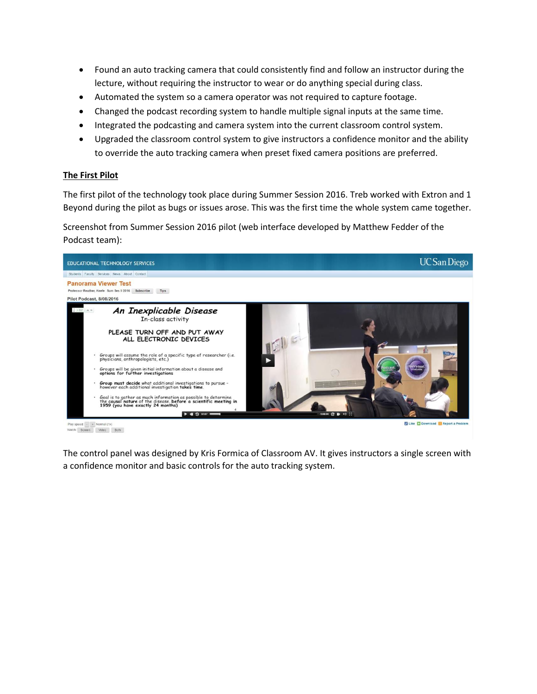- Found an auto tracking camera that could consistently find and follow an instructor during the lecture, without requiring the instructor to wear or do anything special during class.
- Automated the system so a camera operator was not required to capture footage.
- Changed the podcast recording system to handle multiple signal inputs at the same time.
- Integrated the podcasting and camera system into the current classroom control system.
- Upgraded the classroom control system to give instructors a confidence monitor and the ability to override the auto tracking camera when preset fixed camera positions are preferred.

### **The First Pilot**

The first pilot of the technology took place during Summer Session 2016. Treb worked with Extron and 1 Beyond during the pilot as bugs or issues arose. This was the first time the whole system came together.

Screenshot from Summer Session 2016 pilot (web interface developed by Matthew Fedder of the Podcast team):



Play speed: - + Normal (1x)<br>Watch: Screen - Video - Both

Z Like C Dow nioad **N**Report a Pr

The control panel was designed by Kris Formica of Classroom AV. It gives instructors a single screen with a confidence monitor and basic controls for the auto tracking system.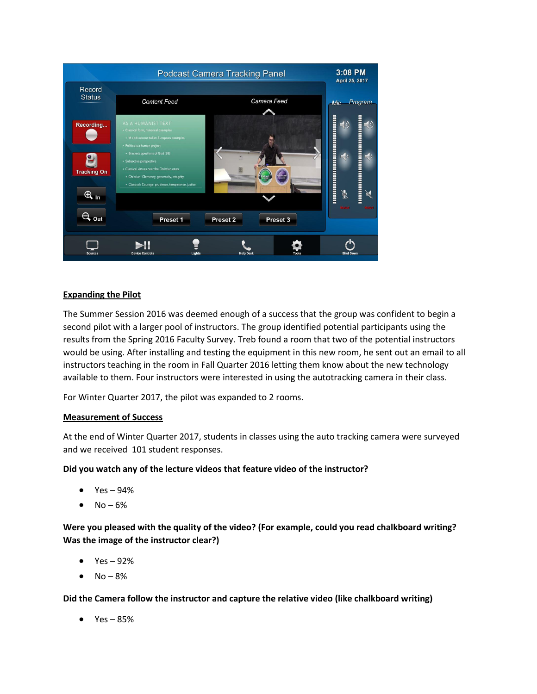

# **Expanding the Pilot**

The Summer Session 2016 was deemed enough of a success that the group was confident to begin a second pilot with a larger pool of instructors. The group identified potential participants using the results from the Spring 2016 Faculty Survey. Treb found a room that two of the potential instructors would be using. After installing and testing the equipment in this new room, he sent out an email to all instructors teaching in the room in Fall Quarter 2016 letting them know about the new technology available to them. Four instructors were interested in using the autotracking camera in their class.

For Winter Quarter 2017, the pilot was expanded to 2 rooms.

# **Measurement of Success**

At the end of Winter Quarter 2017, students in classes using the auto tracking camera were surveyed and we received 101 student responses.

# **Did you watch any of the lecture videos that feature video of the instructor?**

- Yes 94%
- $No 6%$

**Were you pleased with the quality of the video? (For example, could you read chalkboard writing? Was the image of the instructor clear?)**

- $\bullet$  Yes 92%
- $No 8%$

**Did the Camera follow the instructor and capture the relative video (like chalkboard writing)**

 $Yes - 85%$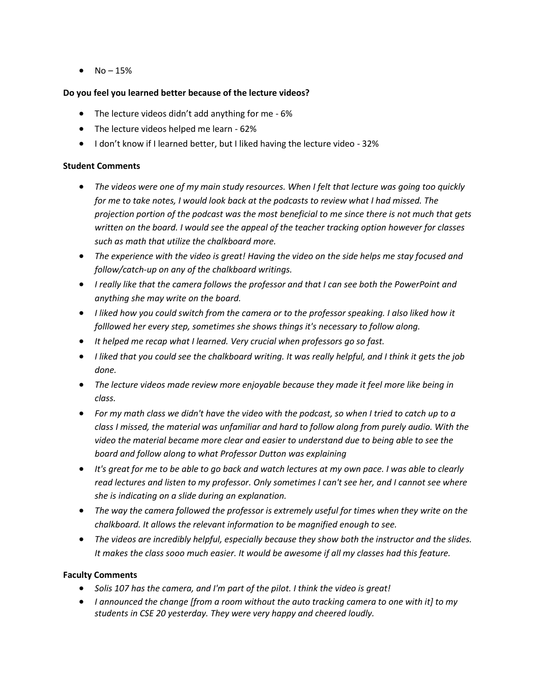•  $No - 15%$ 

### **Do you feel you learned better because of the lecture videos?**

- The lecture videos didn't add anything for me 6%
- The lecture videos helped me learn 62%
- I don't know if I learned better, but I liked having the lecture video 32%

### **Student Comments**

- *The videos were one of my main study resources. When I felt that lecture was going too quickly for me to take notes, I would look back at the podcasts to review what I had missed. The projection portion of the podcast was the most beneficial to me since there is not much that gets written on the board. I would see the appeal of the teacher tracking option however for classes such as math that utilize the chalkboard more.*
- *The experience with the video is great! Having the video on the side helps me stay focused and follow/catch-up on any of the chalkboard writings.*
- *I really like that the camera follows the professor and that I can see both the PowerPoint and anything she may write on the board.*
- *I liked how you could switch from the camera or to the professor speaking. I also liked how it folllowed her every step, sometimes she shows things it's necessary to follow along.*
- *It helped me recap what I learned. Very crucial when professors go so fast.*
- *I liked that you could see the chalkboard writing. It was really helpful, and I think it gets the job done.*
- *The lecture videos made review more enjoyable because they made it feel more like being in class.*
- *For my math class we didn't have the video with the podcast, so when I tried to catch up to a class I missed, the material was unfamiliar and hard to follow along from purely audio. With the video the material became more clear and easier to understand due to being able to see the board and follow along to what Professor Dutton was explaining*
- *It's great for me to be able to go back and watch lectures at my own pace. I was able to clearly read lectures and listen to my professor. Only sometimes I can't see her, and I cannot see where she is indicating on a slide during an explanation.*
- *The way the camera followed the professor is extremely useful for times when they write on the chalkboard. It allows the relevant information to be magnified enough to see.*
- *The videos are incredibly helpful, especially because they show both the instructor and the slides. It makes the class sooo much easier. It would be awesome if all my classes had this feature.*

# **Faculty Comments**

- *Solis 107 has the camera, and I'm part of the pilot. I think the video is great!*
- *I announced the change [from a room without the auto tracking camera to one with it] to my students in CSE 20 yesterday. They were very happy and cheered loudly.*